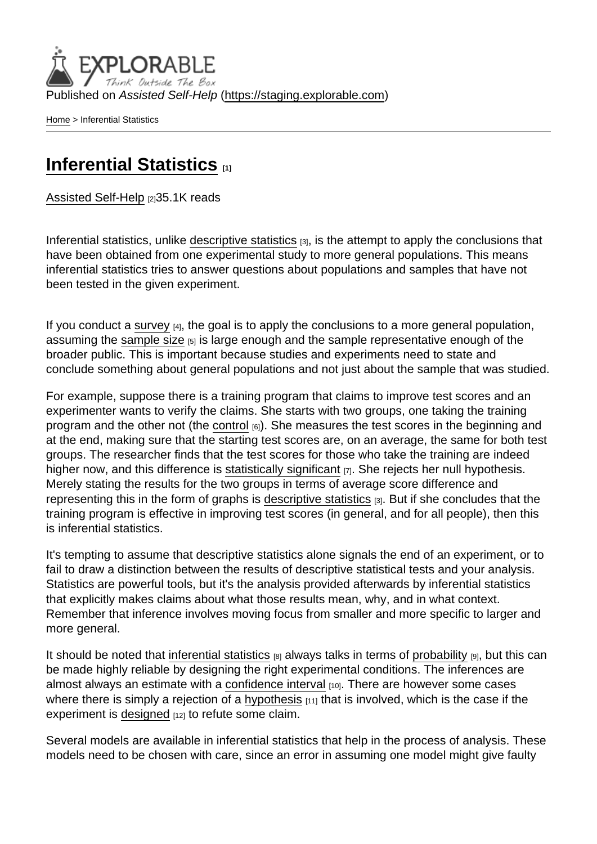Published on Assisted Self-Help [\(https://staging.explorable.com](https://staging.explorable.com))

[Home](https://staging.explorable.com/en) > Inferential Statistics

## [Inferential Statistics](https://staging.explorable.com/en/inferential-statistics) [1]

[Assisted Self-Help](https://staging.explorable.com/en) [2]35.1K reads

Inferential statistics, unlike [descriptive statistics](https://staging.explorable.com/descriptive-statistics) [3], is the attempt to apply the conclusions that have been obtained from one experimental study to more general populations. This means inferential statistics tries to answer questions about populations and samples that have not been tested in the given experiment.

If you conduct a [survey](https://staging.explorable.com/survey-research-design)  $[4]$ , the goal is to apply the conclusions to a more general population, assuming the [sample size](https://staging.explorable.com/sample-size)  $[5]$  is large enough and the sample representative enough of the broader public. This is important because studies and experiments need to state and conclude something about general populations and not just about the sample that was studied.

For example, suppose there is a training program that claims to improve test scores and an experimenter wants to verify the claims. She starts with two groups, one taking the training program and the other not (the [control](https://staging.explorable.com/scientific-control-group) [6]). She measures the test scores in the beginning and at the end, making sure that the starting test scores are, on an average, the same for both test groups. The researcher finds that the test scores for those who take the training are indeed higher now, and this difference is [statistically significant](https://staging.explorable.com/statistically-significant-results) [7]. She rejects her null hypothesis. Merely stating the results for the two groups in terms of average score difference and representing this in the form of graphs is [descriptive statistics](https://staging.explorable.com/descriptive-statistics) [3]. But if she concludes that the training program is effective in improving test scores (in general, and for all people), then this is inferential statistics.

It's tempting to assume that descriptive statistics alone signals the end of an experiment, or to fail to draw a distinction between the results of descriptive statistical tests and your analysis. Statistics are powerful tools, but it's the analysis provided afterwards by inferential statistics that explicitly makes claims about what those results mean, why, and in what context. Remember that inference involves moving focus from smaller and more specific to larger and more general.

It should be noted that [inferential statistics](http://www.socialresearchmethods.net/kb/statinf.php)  $_{[8]}$  always talks in terms of [probability](https://staging.explorable.com/probability-and-statistics)  $_{[9]}$ , but this can be made highly reliable by designing the right experimental conditions. The inferences are almost always an estimate with a [confidence interval](https://staging.explorable.com/statistics-confidence-interval) [10]. There are however some cases where there is simply a rejection of a [hypothesis](https://staging.explorable.com/research-hypothesis)  $[11]$  that is involved, which is the case if the experiment is [designed](https://staging.explorable.com/design-of-experiment) [12] to refute some claim.

Several models are available in inferential statistics that help in the process of analysis. These models need to be chosen with care, since an error in assuming one model might give faulty